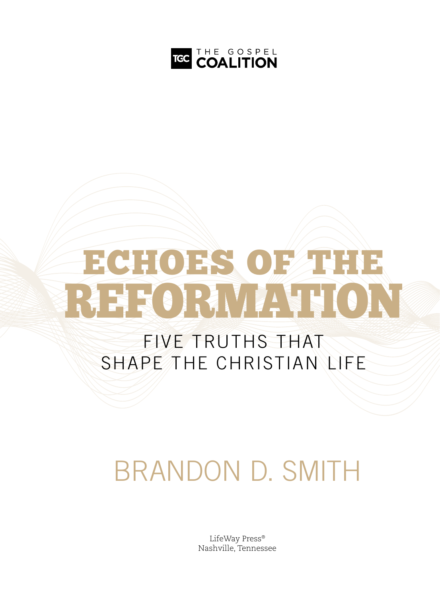

# ECHOES OF THE REFORMATION

# FIVE TRUTHS THAT SHAPE THE CHRISTIAN LIFE

# BRANDON D. SMITH

LifeWay Press® Nashville, Tennessee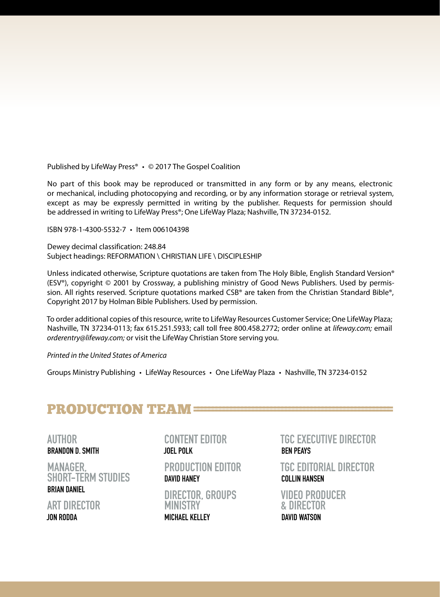Published by LifeWay Press® • © 2017 The Gospel Coalition

No part of this book may be reproduced or transmitted in any form or by any means, electronic or mechanical, including photocopying and recording, or by any information storage or retrieval system, except as may be expressly permitted in writing by the publisher. Requests for permission should be addressed in writing to LifeWay Press®; One LifeWay Plaza; Nashville, TN 37234-0152.

ISBN 978-1-4300-5532-7 • Item 006104398

Dewey decimal classification: 248.84 Subject headings: REFORMATION \ CHRISTIAN LIFE \ DISCIPLESHIP

Unless indicated otherwise, Scripture quotations are taken from The Holy Bible, English Standard Version® (ESV®), copyright © 2001 by Crossway, a publishing ministry of Good News Publishers. Used by permission. All rights reserved. Scripture quotations marked CSB® are taken from the Christian Standard Bible®, Copyright 2017 by Holman Bible Publishers. Used by permission.

To order additional copies of this resource, write to LifeWay Resources Customer Service; One LifeWay Plaza; Nashville, TN 37234-0113; fax 615.251.5933; call toll free 800.458.2772; order online at *lifeway.com;* email *orderentry@lifeway.com;* or visit the LifeWay Christian Store serving you.

*Printed in the United States of America*

Groups Ministry Publishing • LifeWay Resources • One LifeWay Plaza • Nashville, TN 37234-0152

# PRODUCTION TEAM======

**AUTHOR** BRANDON D. SMITH

**MANAGER** SHORT-TERM STUDIES BRIAN DANIEL

ART DIRECTOR JON RODDA

CONTENT EDITOR JOEL POLK

PRODUCTION EDITOR DAVID HANEY

DIRECTOR, GROUPS **MINISTRY** MICHAEL KELLEY

TGC EXECUTIVE DIRECTOR BEN PEAYS

TGC EDITORIAL DIRECTOR COLLIN HANSEN

VIDEO PRODUCER & DIRECTOR DAVID WATSON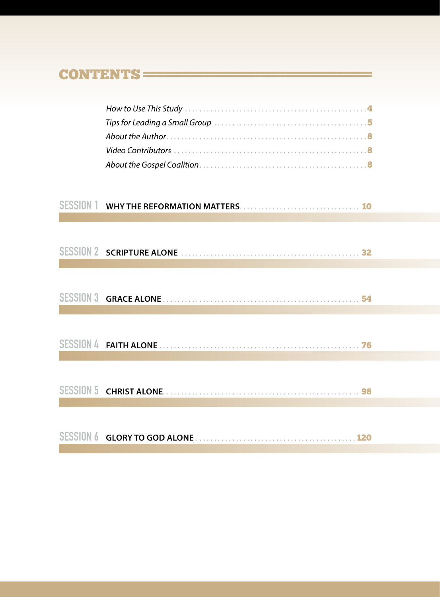# $\mathbf{CONTENTS} = \mathbf{CONTENTS}$

# SESSION 1 **WHY THE REFORMATION MATTERS** . . 10

SESSION 3 **GRACE ALONE** . . 54

|--|--|--|

SESSION 5 **CHRIST ALONE** . . 98

|--|--|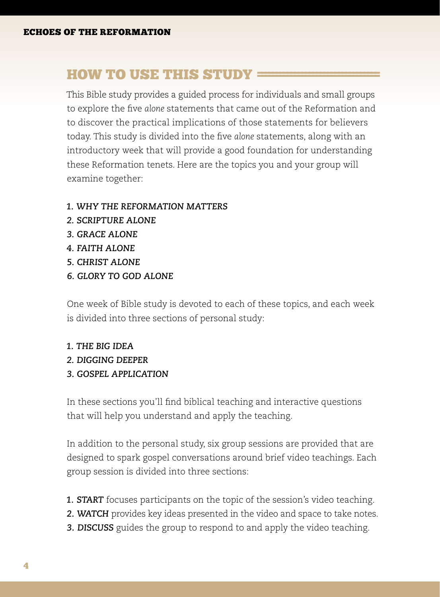# $HOW TO USE THIS STUDY =$

This Bible study provides a guided process for individuals and small groups to explore the five *alone* statements that came out of the Reformation and to discover the practical implications of those statements for believers today. This study is divided into the five *alone* statements, along with an introductory week that will provide a good foundation for understanding these Reformation tenets. Here are the topics you and your group will examine together:

- *1. WHY THE REFORMATION MATTERS*
- *2. SCRIPTURE ALONE*
- *3. GRACE ALONE*
- *4. FAITH ALONE*
- *5. CHRIST ALONE*
- *6. GLORY TO GOD ALONE*

One week of Bible study is devoted to each of these topics, and each week is divided into three sections of personal study:

#### *1. THE BIG IDEA*

- *2. DIGGING DEEPER*
- *3. GOSPEL APPLICATION*

In these sections you'll find biblical teaching and interactive questions that will help you understand and apply the teaching.

In addition to the personal study, six group sessions are provided that are designed to spark gospel conversations around brief video teachings. Each group session is divided into three sections:

- *1. START* focuses participants on the topic of the session's video teaching.
- *2. WATCH* provides key ideas presented in the video and space to take notes.
- *3. DISCUSS* guides the group to respond to and apply the video teaching.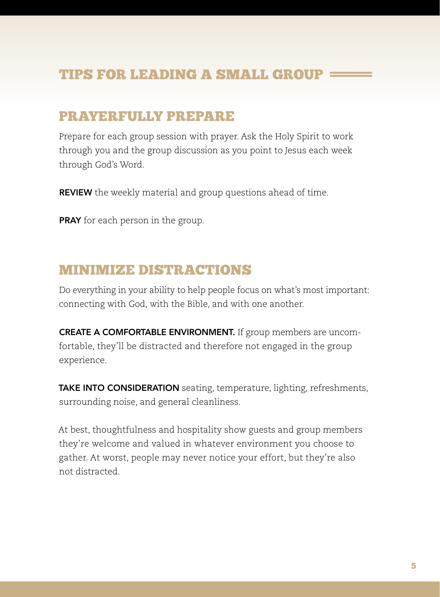# TIPS FOR LEADING A SMALL GROUP =======

# PRAYERFULLY PREPARE

Prepare for each group session with prayer. Ask the Holy Spirit to work through you and the group discussion as you point to Jesus each week through God's Word.

**REVIEW** the weekly material and group questions ahead of time.

**PRAY** for each person in the group.

# MINIMIZE DISTRACTIONS

Do everything in your ability to help people focus on what's most important: connecting with God, with the Bible, and with one another.

CREATE A COMFORTABLE ENVIRONMENT. If group members are uncomfortable, they'll be distracted and therefore not engaged in the group experience.

TAKE INTO CONSIDERATION seating, temperature, lighting, refreshments, surrounding noise, and general cleanliness.

At best, thoughtfulness and hospitality show guests and group members they're welcome and valued in whatever environment you choose to gather. At worst, people may never notice your effort, but they're also not distracted.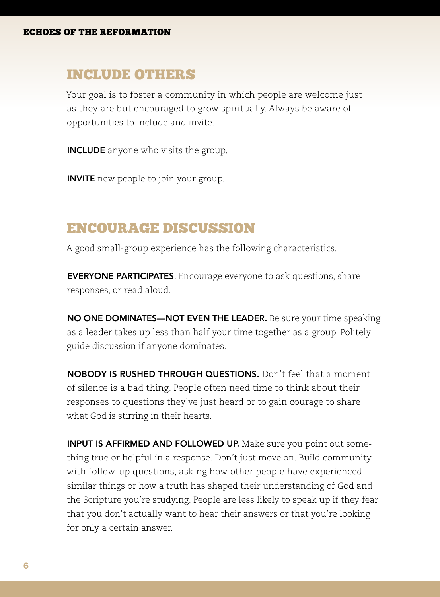# INCLUDE OTHERS

Your goal is to foster a community in which people are welcome just as they are but encouraged to grow spiritually. Always be aware of opportunities to include and invite.

INCLUDE anyone who visits the group.

INVITE new people to join your group.

# ENCOURAGE DISCUSSION

A good small-group experience has the following characteristics.

EVERYONE PARTICIPATES. Encourage everyone to ask questions, share responses, or read aloud.

NO ONE DOMINATES—NOT EVEN THE LEADER. Be sure your time speaking as a leader takes up less than half your time together as a group. Politely guide discussion if anyone dominates.

NOBODY IS RUSHED THROUGH QUESTIONS. Don't feel that a moment of silence is a bad thing. People often need time to think about their responses to questions they've just heard or to gain courage to share what God is stirring in their hearts.

INPUT IS AFFIRMED AND FOLLOWED UP. Make sure you point out something true or helpful in a response. Don't just move on. Build community with follow-up questions, asking how other people have experienced similar things or how a truth has shaped their understanding of God and the Scripture you're studying. People are less likely to speak up if they fear that you don't actually want to hear their answers or that you're looking for only a certain answer.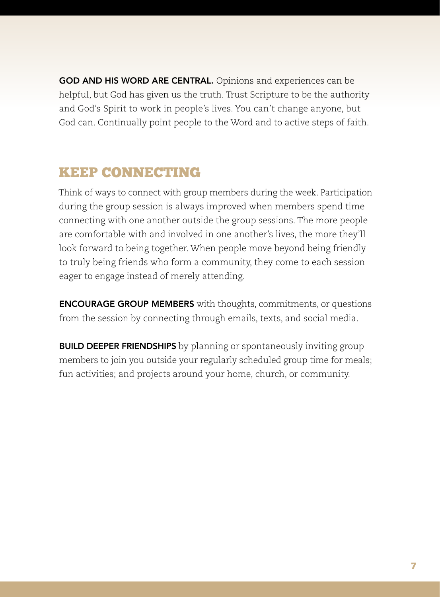GOD AND HIS WORD ARE CENTRAL. Opinions and experiences can be helpful, but God has given us the truth. Trust Scripture to be the authority and God's Spirit to work in people's lives. You can't change anyone, but God can. Continually point people to the Word and to active steps of faith.

# KEEP CONNECTING

Think of ways to connect with group members during the week. Participation during the group session is always improved when members spend time connecting with one another outside the group sessions. The more people are comfortable with and involved in one another's lives, the more they'll look forward to being together. When people move beyond being friendly to truly being friends who form a community, they come to each session eager to engage instead of merely attending.

ENCOURAGE GROUP MEMBERS with thoughts, commitments, or questions from the session by connecting through emails, texts, and social media.

**BUILD DEEPER FRIENDSHIPS** by planning or spontaneously inviting group members to join you outside your regularly scheduled group time for meals; fun activities; and projects around your home, church, or community.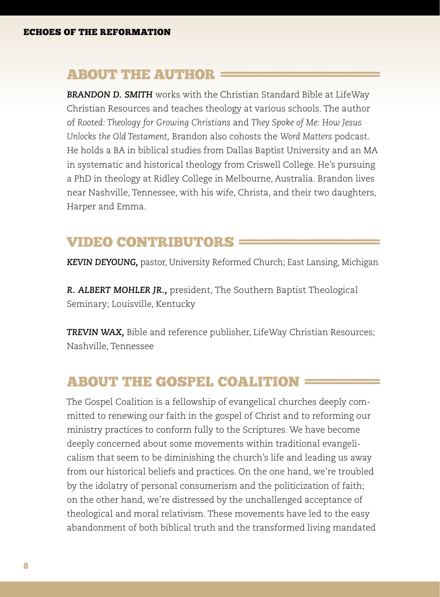# $ABOUT THE AUTHOR =$

*BRANDON D. SMITH* works with the Christian Standard Bible at LifeWay Christian Resources and teaches theology at various schools. The author of *Rooted: Theology for Growing Christians* and *They Spoke of Me: How Jesus Unlocks the Old Testament,* Brandon also cohosts the *Word Matters* podcast. He holds a BA in biblical studies from Dallas Baptist University and an MA in systematic and historical theology from Criswell College. He's pursuing a PhD in theology at Ridley College in Melbourne, Australia. Brandon lives near Nashville, Tennessee, with his wife, Christa, and their two daughters, Harper and Emma.

# VIDEO CONTRIBUTORS ====

*KEVIN DEYOUNG,* pastor, University Reformed Church; East Lansing, Michigan

*R. ALBERT MOHLER JR.,* president, The Southern Baptist Theological Seminary; Louisville, Kentucky

*TREVIN WAX,* Bible and reference publisher, LifeWay Christian Resources; Nashville, Tennessee

# ABOUT THE GOSPEL COALITION =

The Gospel Coalition is a fellowship of evangelical churches deeply committed to renewing our faith in the gospel of Christ and to reforming our ministry practices to conform fully to the Scriptures. We have become deeply concerned about some movements within traditional evangelicalism that seem to be diminishing the church's life and leading us away from our historical beliefs and practices. On the one hand, we're troubled by the idolatry of personal consumerism and the politicization of faith; on the other hand, we're distressed by the unchallenged acceptance of theological and moral relativism. These movements have led to the easy abandonment of both biblical truth and the transformed living mandated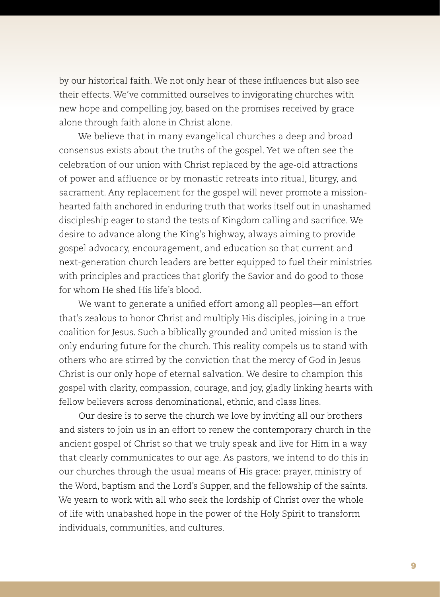by our historical faith. We not only hear of these influences but also see their effects. We've committed ourselves to invigorating churches with new hope and compelling joy, based on the promises received by grace alone through faith alone in Christ alone.

We believe that in many evangelical churches a deep and broad consensus exists about the truths of the gospel. Yet we often see the celebration of our union with Christ replaced by the age-old attractions of power and affluence or by monastic retreats into ritual, liturgy, and sacrament. Any replacement for the gospel will never promote a missionhearted faith anchored in enduring truth that works itself out in unashamed discipleship eager to stand the tests of Kingdom calling and sacrifice. We desire to advance along the King's highway, always aiming to provide gospel advocacy, encouragement, and education so that current and next-generation church leaders are better equipped to fuel their ministries with principles and practices that glorify the Savior and do good to those for whom He shed His life's blood.

We want to generate a unified effort among all peoples—an effort that's zealous to honor Christ and multiply His disciples, joining in a true coalition for Jesus. Such a biblically grounded and united mission is the only enduring future for the church. This reality compels us to stand with others who are stirred by the conviction that the mercy of God in Jesus Christ is our only hope of eternal salvation. We desire to champion this gospel with clarity, compassion, courage, and joy, gladly linking hearts with fellow believers across denominational, ethnic, and class lines.

Our desire is to serve the church we love by inviting all our brothers and sisters to join us in an effort to renew the contemporary church in the ancient gospel of Christ so that we truly speak and live for Him in a way that clearly communicates to our age. As pastors, we intend to do this in our churches through the usual means of His grace: prayer, ministry of the Word, baptism and the Lord's Supper, and the fellowship of the saints. We yearn to work with all who seek the lordship of Christ over the whole of life with unabashed hope in the power of the Holy Spirit to transform individuals, communities, and cultures.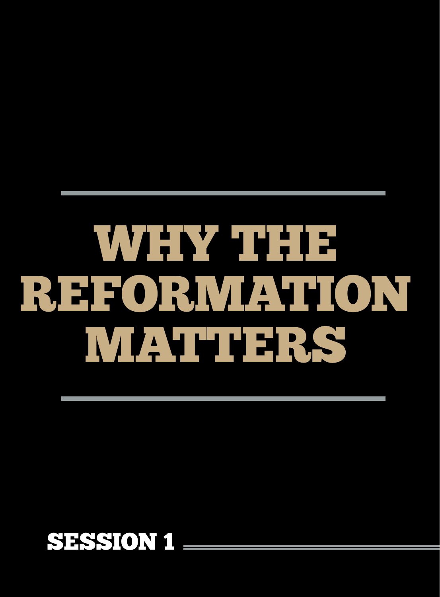# WHY THEIR REFORMATION **MATTERS**

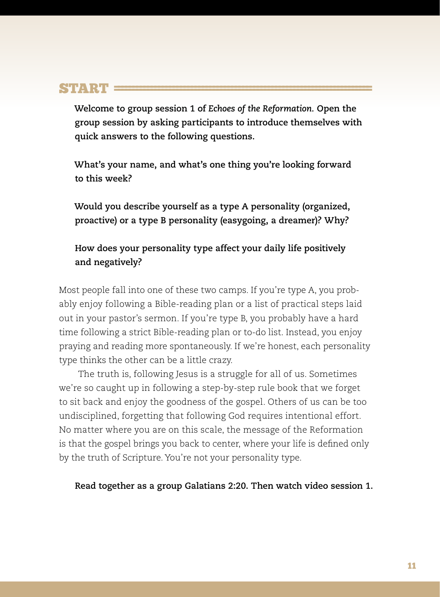# START =

**Welcome to group session 1 of** *Echoes of the Reformation.* **Open the group session by asking participants to introduce themselves with quick answers to the following questions.** 

**What's your name, and what's one thing you're looking forward to this week?**

**Would you describe yourself as a type A personality (organized, proactive) or a type B personality (easygoing, a dreamer)? Why?**

# **How does your personality type affect your daily life positively and negatively?**

Most people fall into one of these two camps. If you're type A, you probably enjoy following a Bible-reading plan or a list of practical steps laid out in your pastor's sermon. If you're type B, you probably have a hard time following a strict Bible-reading plan or to-do list. Instead, you enjoy praying and reading more spontaneously. If we're honest, each personality type thinks the other can be a little crazy.

The truth is, following Jesus is a struggle for all of us. Sometimes we're so caught up in following a step-by-step rule book that we forget to sit back and enjoy the goodness of the gospel. Others of us can be too undisciplined, forgetting that following God requires intentional effort. No matter where you are on this scale, the message of the Reformation is that the gospel brings you back to center, where your life is defined only by the truth of Scripture. You're not your personality type.

**Read together as a group Galatians 2:20. Then watch video session 1.**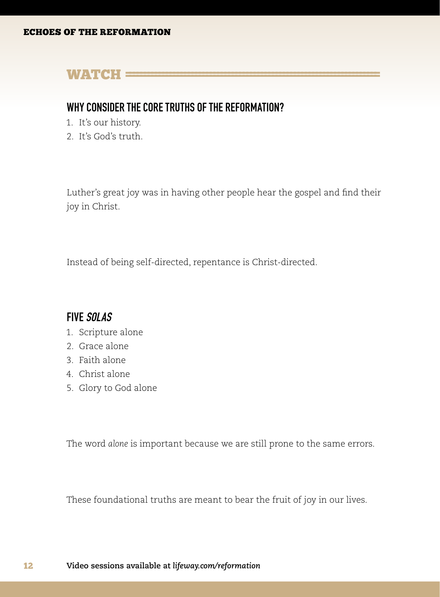# $$

# WHY CONSIDER THE CORE TRUTHS OF THE REFORMATION?

- 1. It's our history.
- 2. It's God's truth.

Luther's great joy was in having other people hear the gospel and find their joy in Christ.

Instead of being self-directed, repentance is Christ-directed.

# FIVE SOLAS

- 1. Scripture alone
- 2. Grace alone
- 3. Faith alone
- 4. Christ alone
- 5. Glory to God alone

The word *alone* is important because we are still prone to the same errors.

These foundational truths are meant to bear the fruit of joy in our lives.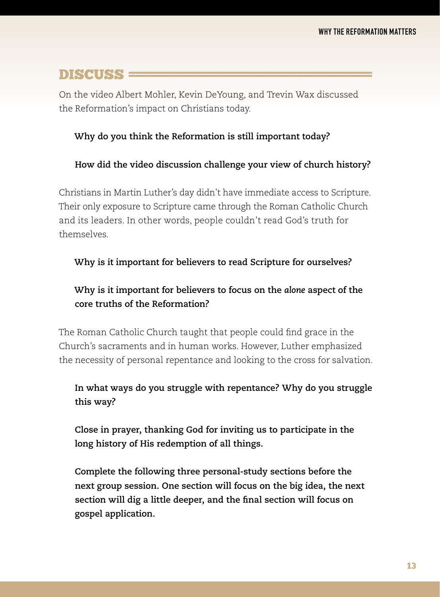# DISCUSS :

On the video Albert Mohler, Kevin DeYoung, and Trevin Wax discussed the Reformation's impact on Christians today.

#### **Why do you think the Reformation is still important today?**

#### **How did the video discussion challenge your view of church history?**

Christians in Martin Luther's day didn't have immediate access to Scripture. Their only exposure to Scripture came through the Roman Catholic Church and its leaders. In other words, people couldn't read God's truth for themselves.

#### **Why is it important for believers to read Scripture for ourselves?**

## **Why is it important for believers to focus on the** *alone* **aspect of the core truths of the Reformation?**

The Roman Catholic Church taught that people could find grace in the Church's sacraments and in human works. However, Luther emphasized the necessity of personal repentance and looking to the cross for salvation.

# **In what ways do you struggle with repentance? Why do you struggle this way?**

**Close in prayer, thanking God for inviting us to participate in the long history of His redemption of all things.** 

**Complete the following three personal-study sections before the next group session. One section will focus on the big idea, the next section will dig a little deeper, and the final section will focus on gospel application.**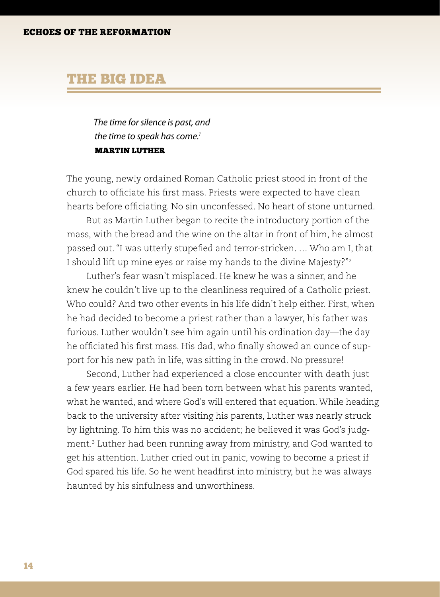# THE BIG IDEA

*The time for silence is past, and the time to speak has come.1* MARTIN LUTHER

The young, newly ordained Roman Catholic priest stood in front of the church to officiate his first mass. Priests were expected to have clean hearts before officiating. No sin unconfessed. No heart of stone unturned.

But as Martin Luther began to recite the introductory portion of the mass, with the bread and the wine on the altar in front of him, he almost passed out. "I was utterly stupefied and terror-stricken. … Who am I, that I should lift up mine eyes or raise my hands to the divine Majesty?"2

Luther's fear wasn't misplaced. He knew he was a sinner, and he knew he couldn't live up to the cleanliness required of a Catholic priest. Who could? And two other events in his life didn't help either. First, when he had decided to become a priest rather than a lawyer, his father was furious. Luther wouldn't see him again until his ordination day—the day he officiated his first mass. His dad, who finally showed an ounce of support for his new path in life, was sitting in the crowd. No pressure!

Second, Luther had experienced a close encounter with death just a few years earlier. He had been torn between what his parents wanted, what he wanted, and where God's will entered that equation. While heading back to the university after visiting his parents, Luther was nearly struck by lightning. To him this was no accident; he believed it was God's judgment.3 Luther had been running away from ministry, and God wanted to get his attention. Luther cried out in panic, vowing to become a priest if God spared his life. So he went headfirst into ministry, but he was always haunted by his sinfulness and unworthiness.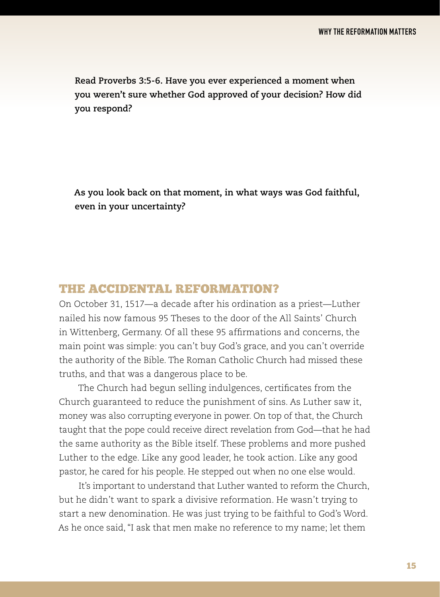**Read Proverbs 3:5-6. Have you ever experienced a moment when you weren't sure whether God approved of your decision? How did you respond?**

**As you look back on that moment, in what ways was God faithful, even in your uncertainty?**

# THE ACCIDENTAL REFORMATION?

On October 31, 1517—a decade after his ordination as a priest—Luther nailed his now famous 95 Theses to the door of the All Saints' Church in Wittenberg, Germany. Of all these 95 affirmations and concerns, the main point was simple: you can't buy God's grace, and you can't override the authority of the Bible. The Roman Catholic Church had missed these truths, and that was a dangerous place to be.

The Church had begun selling indulgences, certificates from the Church guaranteed to reduce the punishment of sins. As Luther saw it, money was also corrupting everyone in power. On top of that, the Church taught that the pope could receive direct revelation from God—that he had the same authority as the Bible itself. These problems and more pushed Luther to the edge. Like any good leader, he took action. Like any good pastor, he cared for his people. He stepped out when no one else would.

It's important to understand that Luther wanted to reform the Church, but he didn't want to spark a divisive reformation. He wasn't trying to start a new denomination. He was just trying to be faithful to God's Word. As he once said, "I ask that men make no reference to my name; let them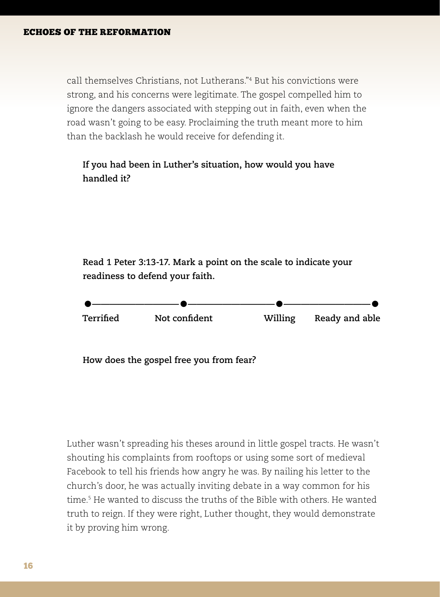call themselves Christians, not Lutherans."4 But his convictions were strong, and his concerns were legitimate. The gospel compelled him to ignore the dangers associated with stepping out in faith, even when the road wasn't going to be easy. Proclaiming the truth meant more to him than the backlash he would receive for defending it.

#### **If you had been in Luther's situation, how would you have handled it?**

**Read 1 Peter 3:13-17. Mark a point on the scale to indicate your readiness to defend your faith.** 



**How does the gospel free you from fear?**

Luther wasn't spreading his theses around in little gospel tracts. He wasn't shouting his complaints from rooftops or using some sort of medieval Facebook to tell his friends how angry he was. By nailing his letter to the church's door, he was actually inviting debate in a way common for his time.5 He wanted to discuss the truths of the Bible with others. He wanted truth to reign. If they were right, Luther thought, they would demonstrate it by proving him wrong.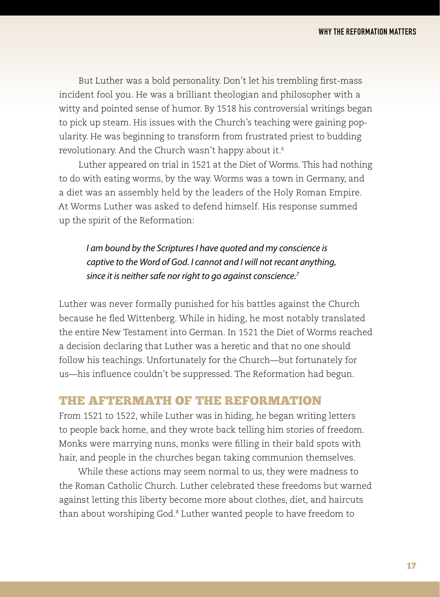But Luther was a bold personality. Don't let his trembling first-mass incident fool you. He was a brilliant theologian and philosopher with a witty and pointed sense of humor. By 1518 his controversial writings began to pick up steam. His issues with the Church's teaching were gaining popularity. He was beginning to transform from frustrated priest to budding revolutionary. And the Church wasn't happy about it.6

Luther appeared on trial in 1521 at the Diet of Worms. This had nothing to do with eating worms, by the way. Worms was a town in Germany, and a diet was an assembly held by the leaders of the Holy Roman Empire. At Worms Luther was asked to defend himself. His response summed up the spirit of the Reformation:

*I am bound by the Scriptures I have quoted and my conscience is captive to the Word of God. I cannot and I will not recant anything, since it is neither safe nor right to go against conscience.7*

Luther was never formally punished for his battles against the Church because he fled Wittenberg. While in hiding, he most notably translated the entire New Testament into German. In 1521 the Diet of Worms reached a decision declaring that Luther was a heretic and that no one should follow his teachings. Unfortunately for the Church—but fortunately for us—his influence couldn't be suppressed. The Reformation had begun.

#### THE AFTERMATH OF THE REFORMATION

From 1521 to 1522, while Luther was in hiding, he began writing letters to people back home, and they wrote back telling him stories of freedom. Monks were marrying nuns, monks were filling in their bald spots with hair, and people in the churches began taking communion themselves.

While these actions may seem normal to us, they were madness to the Roman Catholic Church. Luther celebrated these freedoms but warned against letting this liberty become more about clothes, diet, and haircuts than about worshiping God.8 Luther wanted people to have freedom to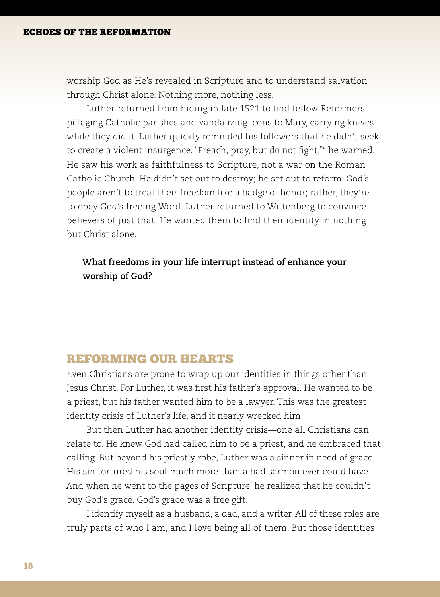worship God as He's revealed in Scripture and to understand salvation through Christ alone. Nothing more, nothing less.

Luther returned from hiding in late 1521 to find fellow Reformers pillaging Catholic parishes and vandalizing icons to Mary, carrying knives while they did it. Luther quickly reminded his followers that he didn't seek to create a violent insurgence. "Preach, pray, but do not fight,"9 he warned. He saw his work as faithfulness to Scripture, not a war on the Roman Catholic Church. He didn't set out to destroy; he set out to reform. God's people aren't to treat their freedom like a badge of honor; rather, they're to obey God's freeing Word. Luther returned to Wittenberg to convince believers of just that. He wanted them to find their identity in nothing but Christ alone.

### **What freedoms in your life interrupt instead of enhance your worship of God?**

#### REFORMING OUR HEARTS

Even Christians are prone to wrap up our identities in things other than Jesus Christ. For Luther, it was first his father's approval. He wanted to be a priest, but his father wanted him to be a lawyer. This was the greatest identity crisis of Luther's life, and it nearly wrecked him.

But then Luther had another identity crisis—one all Christians can relate to. He knew God had called him to be a priest, and he embraced that calling. But beyond his priestly robe, Luther was a sinner in need of grace. His sin tortured his soul much more than a bad sermon ever could have. And when he went to the pages of Scripture, he realized that he couldn't buy God's grace. God's grace was a free gift.

I identify myself as a husband, a dad, and a writer. All of these roles are truly parts of who I am, and I love being all of them. But those identities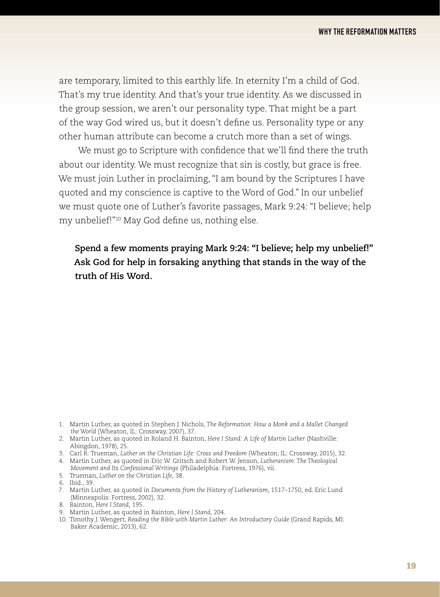are temporary, limited to this earthly life. In eternity I'm a child of God. That's my true identity. And that's your true identity. As we discussed in the group session, we aren't our personality type. That might be a part of the way God wired us, but it doesn't define us. Personality type or any other human attribute can become a crutch more than a set of wings.

We must go to Scripture with confidence that we'll find there the truth about our identity. We must recognize that sin is costly, but grace is free. We must join Luther in proclaiming, "I am bound by the Scriptures I have quoted and my conscience is captive to the Word of God." In our unbelief we must quote one of Luther's favorite passages, Mark 9:24: "I believe; help my unbelief!"10 May God define us, nothing else.

**Spend a few moments praying Mark 9:24: "I believe; help my unbelief!" Ask God for help in forsaking anything that stands in the way of the truth of His Word.**

- 1. Martin Luther, as quoted in Stephen J. Nichols, *The Reformation: How a Monk and a Mallet Changed the World* (Wheaton, IL: Crossway, 2007), 37.
- 2. Martin Luther, as quoted in Roland H. Bainton, *Here I Stand: A Life of Martin Luther* (Nashville: Abingdon, 1978), 25.
- 3. Carl R. Trueman, *Luther on the Christian Life: Cross and Freedom* (Wheaton, IL: Crossway, 2015), 32.
- 4. Martin Luther, as quoted in Eric W. Gritsch and Robert W. Jenson, *Lutheranism: The Theological Movement and Its Confessional Writings* (Philadelphia: Fortress, 1976), vii.
- 5. Trueman, *Luther on the Christian Life,* 38.
- 6. Ibid., 39.
- 7. Martin Luther, as quoted in *Documents from the History of Lutheranism, 1517–1750,* ed. Eric Lund (Minneapolis: Fortress, 2002), 32.
- 8. Bainton, *Here I Stand,* 195.
- 9. Martin Luther, as quoted in Bainton, *Here I Stand,* 204.
- 10. Timothy J. Wengert, *Reading the Bible with Martin Luther: An Introductory Guide* (Grand Rapids, MI: Baker Academic, 2013), 62.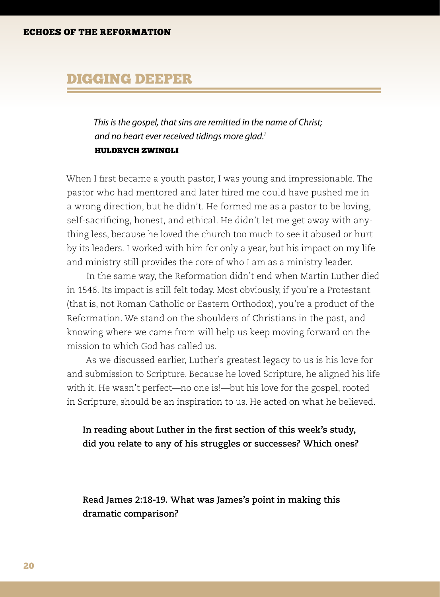# DIGGING DEEPER

*This is the gospel, that sins are remitted in the name of Christ; and no heart ever received tidings more glad.1* HULDRYCH ZWINGLI

When I first became a youth pastor, I was young and impressionable. The pastor who had mentored and later hired me could have pushed me in a wrong direction, but he didn't. He formed me as a pastor to be loving, self-sacrificing, honest, and ethical. He didn't let me get away with anything less, because he loved the church too much to see it abused or hurt by its leaders. I worked with him for only a year, but his impact on my life and ministry still provides the core of who I am as a ministry leader.

In the same way, the Reformation didn't end when Martin Luther died in 1546. Its impact is still felt today. Most obviously, if you're a Protestant (that is, not Roman Catholic or Eastern Orthodox), you're a product of the Reformation. We stand on the shoulders of Christians in the past, and knowing where we came from will help us keep moving forward on the mission to which God has called us.

As we discussed earlier, Luther's greatest legacy to us is his love for and submission to Scripture. Because he loved Scripture, he aligned his life with it. He wasn't perfect—no one is!—but his love for the gospel, rooted in Scripture, should be an inspiration to us. He acted on what he believed.

# **In reading about Luther in the first section of this week's study, did you relate to any of his struggles or successes? Which ones?**

**Read James 2:18-19. What was James's point in making this dramatic comparison?**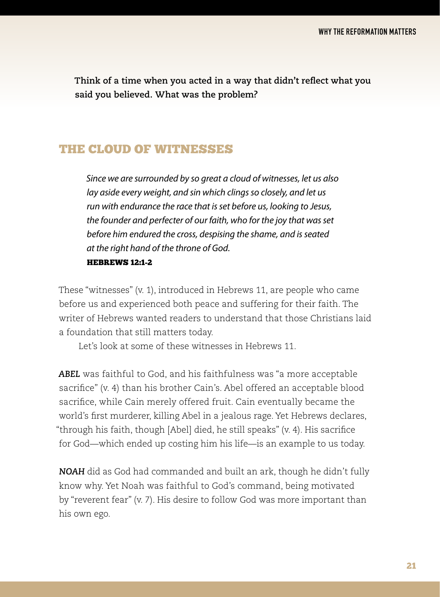**Think of a time when you acted in a way that didn't reflect what you said you believed. What was the problem?**

# THE CLOUD OF WITNESSES

*Since we are surrounded by so great a cloud of witnesses, let us also lay aside every weight, and sin which clings so closely, and let us run with endurance the race that is set before us, looking to Jesus, the founder and perfecter of our faith, who for the joy that was set before him endured the cross, despising the shame, and is seated at the right hand of the throne of God.* HEBREWS 12:1-2

These "witnesses" (v. 1), introduced in Hebrews 11, are people who came before us and experienced both peace and suffering for their faith. The writer of Hebrews wanted readers to understand that those Christians laid a foundation that still matters today.

Let's look at some of these witnesses in Hebrews 11.

*ABEL* was faithful to God, and his faithfulness was "a more acceptable sacrifice" (v. 4) than his brother Cain's. Abel offered an acceptable blood sacrifice, while Cain merely offered fruit. Cain eventually became the world's first murderer, killing Abel in a jealous rage. Yet Hebrews declares, "through his faith, though [Abel] died, he still speaks" (v. 4). His sacrifice for God—which ended up costing him his life—is an example to us today.

*NOAH* did as God had commanded and built an ark, though he didn't fully know why. Yet Noah was faithful to God's command, being motivated by "reverent fear" (v. 7). His desire to follow God was more important than his own ego.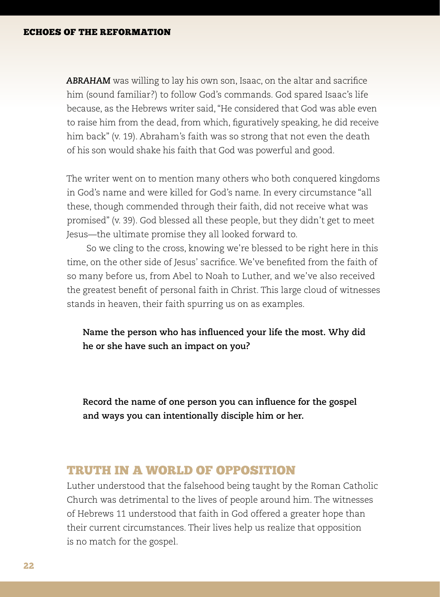*ABRAHAM* was willing to lay his own son, Isaac, on the altar and sacrifice him (sound familiar?) to follow God's commands. God spared Isaac's life because, as the Hebrews writer said, "He considered that God was able even to raise him from the dead, from which, figuratively speaking, he did receive him back" (v. 19). Abraham's faith was so strong that not even the death of his son would shake his faith that God was powerful and good.

The writer went on to mention many others who both conquered kingdoms in God's name and were killed for God's name. In every circumstance "all these, though commended through their faith, did not receive what was promised" (v. 39). God blessed all these people, but they didn't get to meet Jesus—the ultimate promise they all looked forward to.

So we cling to the cross, knowing we're blessed to be right here in this time, on the other side of Jesus' sacrifice. We've benefited from the faith of so many before us, from Abel to Noah to Luther, and we've also received the greatest benefit of personal faith in Christ. This large cloud of witnesses stands in heaven, their faith spurring us on as examples.

**Name the person who has influenced your life the most. Why did he or she have such an impact on you?**

**Record the name of one person you can influence for the gospel and ways you can intentionally disciple him or her.**

#### TRUTH IN A WORLD OF OPPOSITION

Luther understood that the falsehood being taught by the Roman Catholic Church was detrimental to the lives of people around him. The witnesses of Hebrews 11 understood that faith in God offered a greater hope than their current circumstances. Their lives help us realize that opposition is no match for the gospel.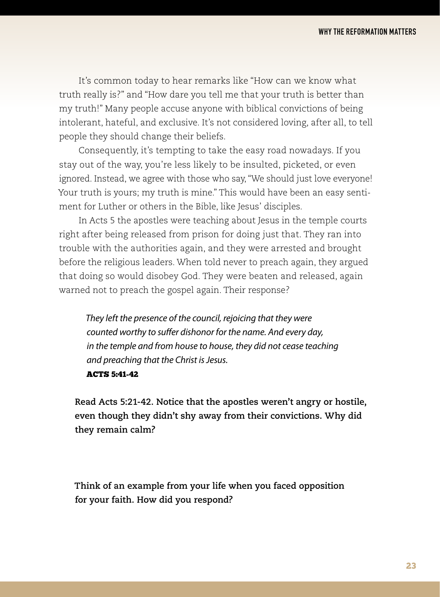It's common today to hear remarks like "How can we know what truth really is?" and "How dare you tell me that your truth is better than my truth!" Many people accuse anyone with biblical convictions of being intolerant, hateful, and exclusive. It's not considered loving, after all, to tell people they should change their beliefs.

Consequently, it's tempting to take the easy road nowadays. If you stay out of the way, you're less likely to be insulted, picketed, or even ignored. Instead, we agree with those who say, "We should just love everyone! Your truth is yours; my truth is mine." This would have been an easy sentiment for Luther or others in the Bible, like Jesus' disciples.

In Acts 5 the apostles were teaching about Jesus in the temple courts right after being released from prison for doing just that. They ran into trouble with the authorities again, and they were arrested and brought before the religious leaders. When told never to preach again, they argued that doing so would disobey God. They were beaten and released, again warned not to preach the gospel again. Their response?

*They left the presence of the council, rejoicing that they were counted worthy to suffer dishonor for the name. And every day, in the temple and from house to house, they did not cease teaching and preaching that the Christ is Jesus.*

#### ACTS 5:41-42

**Read Acts 5:21-42. Notice that the apostles weren't angry or hostile, even though they didn't shy away from their convictions. Why did they remain calm?**

**Think of an example from your life when you faced opposition for your faith. How did you respond?**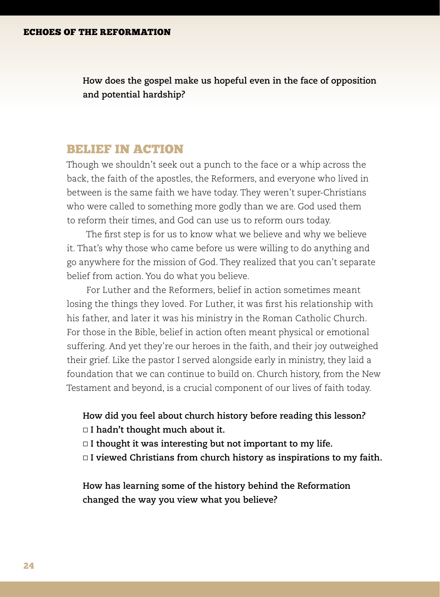**How does the gospel make us hopeful even in the face of opposition and potential hardship?**

#### BELIEF IN ACTION

Though we shouldn't seek out a punch to the face or a whip across the back, the faith of the apostles, the Reformers, and everyone who lived in between is the same faith we have today. They weren't super-Christians who were called to something more godly than we are. God used them to reform their times, and God can use us to reform ours today.

The first step is for us to know what we believe and why we believe it. That's why those who came before us were willing to do anything and go anywhere for the mission of God. They realized that you can't separate belief from action. You do what you believe.

For Luther and the Reformers, belief in action sometimes meant losing the things they loved. For Luther, it was first his relationship with his father, and later it was his ministry in the Roman Catholic Church. For those in the Bible, belief in action often meant physical or emotional suffering. And yet they're our heroes in the faith, and their joy outweighed their grief. Like the pastor I served alongside early in ministry, they laid a foundation that we can continue to build on. Church history, from the New Testament and beyond, is a crucial component of our lives of faith today.

#### **How did you feel about church history before reading this lesson?** □ **I hadn't thought much about it.**

- □ **I thought it was interesting but not important to my life.**
- □ **I viewed Christians from church history as inspirations to my faith.**

**How has learning some of the history behind the Reformation changed the way you view what you believe?**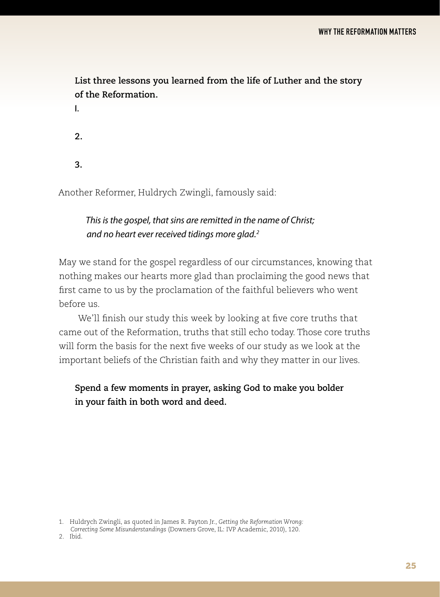**List three lessons you learned from the life of Luther and the story of the Reformation.**

1. **2.**

**3.**

Another Reformer, Huldrych Zwingli, famously said:

# *This is the gospel, that sins are remitted in the name of Christ; and no heart ever received tidings more glad.2*

May we stand for the gospel regardless of our circumstances, knowing that nothing makes our hearts more glad than proclaiming the good news that first came to us by the proclamation of the faithful believers who went before us.

We'll finish our study this week by looking at five core truths that came out of the Reformation, truths that still echo today. Those core truths will form the basis for the next five weeks of our study as we look at the important beliefs of the Christian faith and why they matter in our lives.

# **Spend a few moments in prayer, asking God to make you bolder in your faith in both word and deed.**

2. Ibid.

<sup>1.</sup> Huldrych Zwingli, as quoted in James R. Payton Jr., *Getting the Reformation Wrong: Correcting Some Misunderstandings* (Downers Grove, IL: IVP Academic, 2010), 120.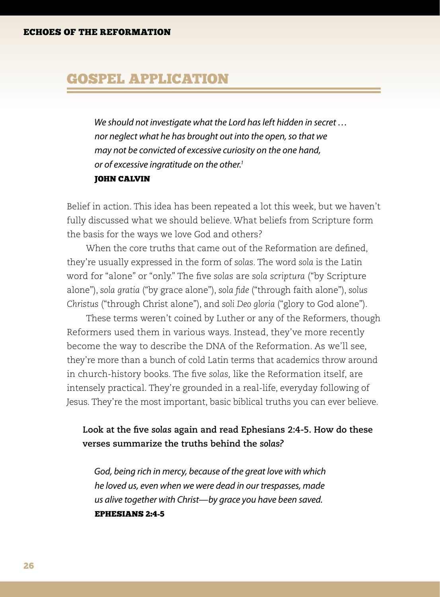# GOSPEL APPLICATION

*We should not investigate what the Lord has left hidden in secret … nor neglect what he has brought out into the open, so that we may not be convicted of excessive curiosity on the one hand, or of excessive ingratitude on the other.1*

#### JOHN CALVIN

Belief in action. This idea has been repeated a lot this week, but we haven't fully discussed what we should believe. What beliefs from Scripture form the basis for the ways we love God and others?

When the core truths that came out of the Reformation are defined, they're usually expressed in the form of *solas*. The word *sola* is the Latin word for "alone" or "only." The five *solas* are *sola scriptura* ("by Scripture alone"), *sola gratia* ("by grace alone"), *sola fide* ("through faith alone"), *solus Christus* ("through Christ alone"), and *soli Deo gloria* ("glory to God alone").

These terms weren't coined by Luther or any of the Reformers, though Reformers used them in various ways. Instead, they've more recently become the way to describe the DNA of the Reformation. As we'll see, they're more than a bunch of cold Latin terms that academics throw around in church-history books. The five *solas,* like the Reformation itself, are intensely practical. They're grounded in a real-life, everyday following of Jesus. They're the most important, basic biblical truths you can ever believe.

# **Look at the five** *solas* **again and read Ephesians 2:4-5. How do these verses summarize the truths behind the** *solas?*

*God, being rich in mercy, because of the great love with which he loved us, even when we were dead in our trespasses, made us alive together with Christ—by grace you have been saved.* EPHESIANS 2:4-5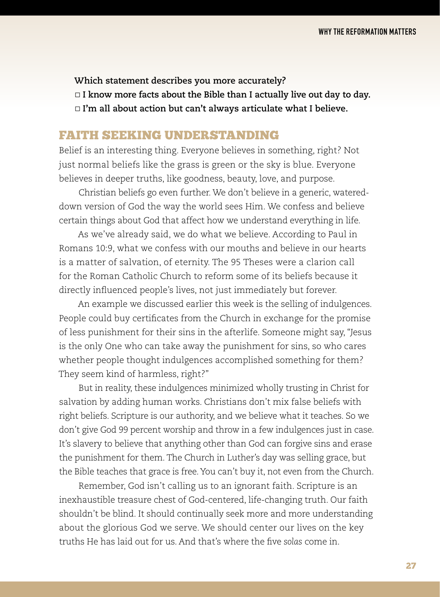**Which statement describes you more accurately?** □ **I know more facts about the Bible than I actually live out day to day.** □ **I'm all about action but can't always articulate what I believe.**

#### FAITH SEEKING UNDERSTANDING

Belief is an interesting thing. Everyone believes in something, right? Not just normal beliefs like the grass is green or the sky is blue. Everyone believes in deeper truths, like goodness, beauty, love, and purpose.

Christian beliefs go even further. We don't believe in a generic, watereddown version of God the way the world sees Him. We confess and believe certain things about God that affect how we understand everything in life.

As we've already said, we do what we believe. According to Paul in Romans 10:9, what we confess with our mouths and believe in our hearts is a matter of salvation, of eternity. The 95 Theses were a clarion call for the Roman Catholic Church to reform some of its beliefs because it directly influenced people's lives, not just immediately but forever.

An example we discussed earlier this week is the selling of indulgences. People could buy certificates from the Church in exchange for the promise of less punishment for their sins in the afterlife. Someone might say, "Jesus is the only One who can take away the punishment for sins, so who cares whether people thought indulgences accomplished something for them? They seem kind of harmless, right?"

But in reality, these indulgences minimized wholly trusting in Christ for salvation by adding human works. Christians don't mix false beliefs with right beliefs. Scripture is our authority, and we believe what it teaches. So we don't give God 99 percent worship and throw in a few indulgences just in case. It's slavery to believe that anything other than God can forgive sins and erase the punishment for them. The Church in Luther's day was selling grace, but the Bible teaches that grace is free. You can't buy it, not even from the Church.

Remember, God isn't calling us to an ignorant faith. Scripture is an inexhaustible treasure chest of God-centered, life-changing truth. Our faith shouldn't be blind. It should continually seek more and more understanding about the glorious God we serve. We should center our lives on the key truths He has laid out for us. And that's where the five *solas* come in.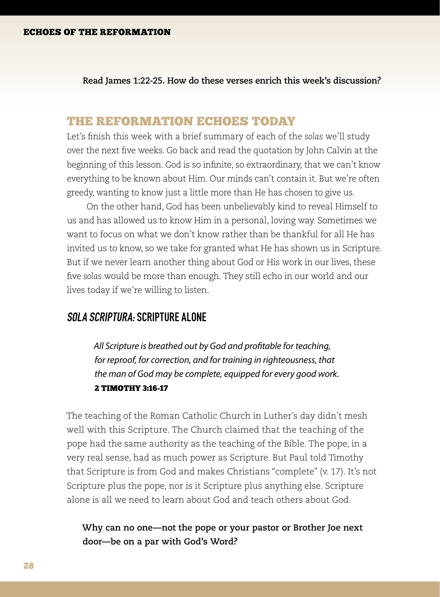**Read James 1:22-25. How do these verses enrich this week's discussion?**

#### THE REFORMATION ECHOES TODAY

Let's finish this week with a brief summary of each of the *solas* we'll study over the next five weeks. Go back and read the quotation by John Calvin at the beginning of this lesson. God is so infinite, so extraordinary, that we can't know everything to be known about Him. Our minds can't contain it. But we're often greedy, wanting to know just a little more than He has chosen to give us.

On the other hand, God has been unbelievably kind to reveal Himself to us and has allowed us to know Him in a personal, loving way. Sometimes we want to focus on what we don't know rather than be thankful for all He has invited us to know, so we take for granted what He has shown us in Scripture. But if we never learn another thing about God or His work in our lives, these five *solas* would be more than enough. They still echo in our world and our lives today if we're willing to listen.

## SOLA SCRIPTURA: SCRIPTURE ALONE

*All Scripture is breathed out by God and profitable for teaching, for reproof, for correction, and for training in righteousness, that the man of God may be complete, equipped for every good work.* 2 TIMOTHY 3:16-17

The teaching of the Roman Catholic Church in Luther's day didn't mesh well with this Scripture. The Church claimed that the teaching of the pope had the same authority as the teaching of the Bible. The pope, in a very real sense, had as much power as Scripture. But Paul told Timothy that Scripture is from God and makes Christians "complete" (v. 17). It's not Scripture plus the pope, nor is it Scripture plus anything else. Scripture alone is all we need to learn about God and teach others about God.

**Why can no one—not the pope or your pastor or Brother Joe next door—be on a par with God's Word?**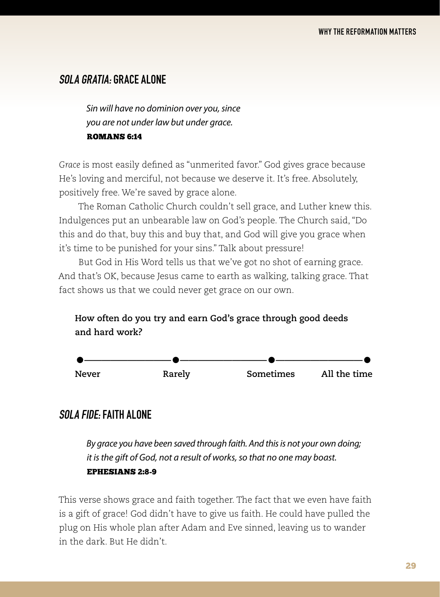# SOLA GRATIA: GRACE ALONE

*Sin will have no dominion over you, since you are not under law but under grace.* ROMANS 6:14

*Grace* is most easily defined as "unmerited favor." God gives grace because He's loving and merciful, not because we deserve it. It's free. Absolutely, positively free. We're saved by grace alone.

The Roman Catholic Church couldn't sell grace, and Luther knew this. Indulgences put an unbearable law on God's people. The Church said, "Do this and do that, buy this and buy that, and God will give you grace when it's time to be punished for your sins." Talk about pressure!

But God in His Word tells us that we've got no shot of earning grace. And that's OK, because Jesus came to earth as walking, talking grace. That fact shows us that we could never get grace on our own.

**How often do you try and earn God's grace through good deeds and hard work?**



# SOLA FIDE: FAITH ALONE

*By grace you have been saved through faith. And this is not your own doing; it is the gift of God, not a result of works, so that no one may boast.* EPHESIANS 2:8-9

This verse shows grace and faith together. The fact that we even have faith is a gift of grace! God didn't have to give us faith. He could have pulled the plug on His whole plan after Adam and Eve sinned, leaving us to wander in the dark. But He didn't.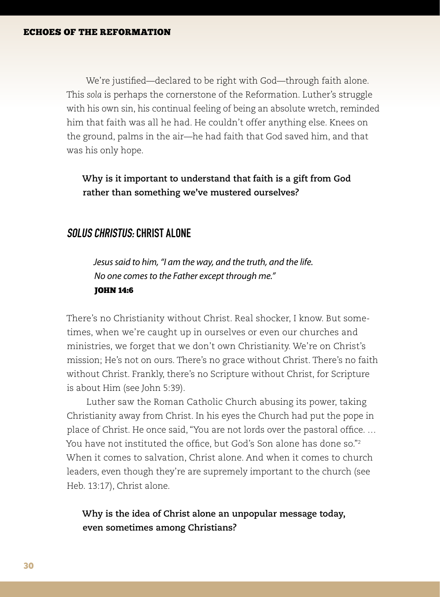We're justified—declared to be right with God—through faith alone. This *sola* is perhaps the cornerstone of the Reformation. Luther's struggle with his own sin, his continual feeling of being an absolute wretch, reminded him that faith was all he had. He couldn't offer anything else. Knees on the ground, palms in the air—he had faith that God saved him, and that was his only hope.

**Why is it important to understand that faith is a gift from God rather than something we've mustered ourselves?**

#### SOLUS CHRISTUS: CHRIST ALONE

*Jesus said to him, "I am the way, and the truth, and the life. No one comes to the Father except through me."* JOHN 14:6

There's no Christianity without Christ. Real shocker, I know. But sometimes, when we're caught up in ourselves or even our churches and ministries, we forget that we don't own Christianity. We're on Christ's mission; He's not on ours. There's no grace without Christ. There's no faith without Christ. Frankly, there's no Scripture without Christ, for Scripture is about Him (see John 5:39).

Luther saw the Roman Catholic Church abusing its power, taking Christianity away from Christ. In his eyes the Church had put the pope in place of Christ. He once said, "You are not lords over the pastoral office. … You have not instituted the office, but God's Son alone has done so."2 When it comes to salvation, Christ alone. And when it comes to church leaders, even though they're are supremely important to the church (see Heb. 13:17), Christ alone.

**Why is the idea of Christ alone an unpopular message today, even sometimes among Christians?**